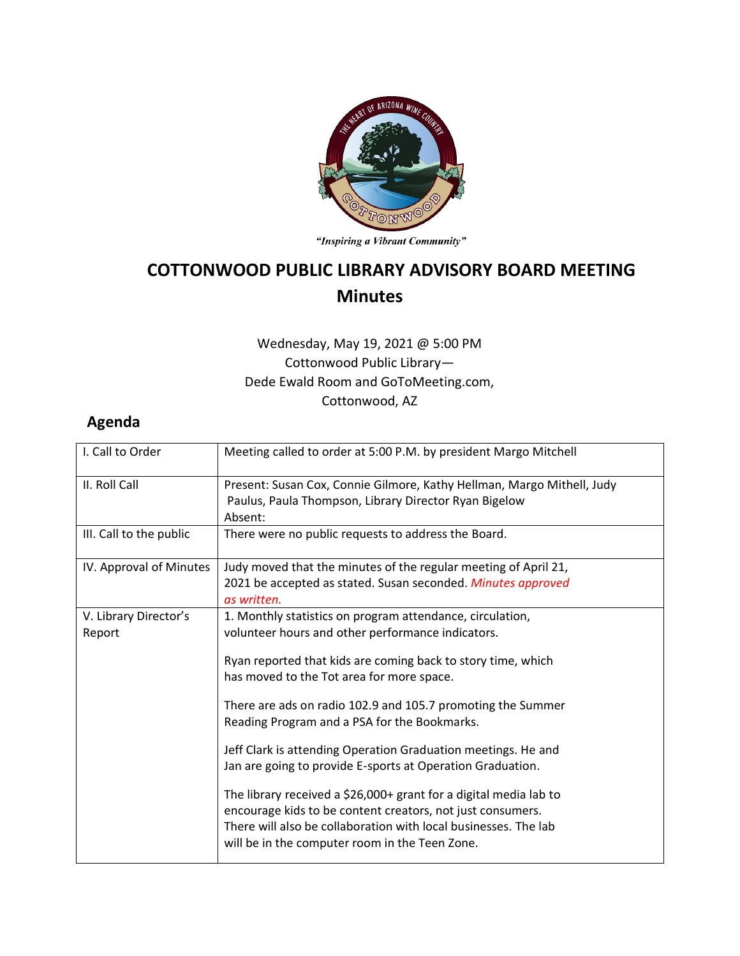

"Inspiring a Vibrant Community"

## **COTTONWOOD PUBLIC LIBRARY ADVISORY BOARD MEETING Minutes**

## Wednesday, May 19, 2021 @ 5:00 PM Cottonwood Public Library— Dede Ewald Room and GoToMeeting.com, Cottonwood, AZ

## **Agenda**

| I. Call to Order                | Meeting called to order at 5:00 P.M. by president Margo Mitchell                                                                                                                                                                                                                                                                                                                                                                                                                                                                                                                                              |
|---------------------------------|---------------------------------------------------------------------------------------------------------------------------------------------------------------------------------------------------------------------------------------------------------------------------------------------------------------------------------------------------------------------------------------------------------------------------------------------------------------------------------------------------------------------------------------------------------------------------------------------------------------|
| II. Roll Call                   | Present: Susan Cox, Connie Gilmore, Kathy Hellman, Margo Mithell, Judy<br>Paulus, Paula Thompson, Library Director Ryan Bigelow<br>Absent:                                                                                                                                                                                                                                                                                                                                                                                                                                                                    |
| III. Call to the public         | There were no public requests to address the Board.                                                                                                                                                                                                                                                                                                                                                                                                                                                                                                                                                           |
| IV. Approval of Minutes         | Judy moved that the minutes of the regular meeting of April 21,<br>2021 be accepted as stated. Susan seconded. Minutes approved<br>as written.                                                                                                                                                                                                                                                                                                                                                                                                                                                                |
| V. Library Director's<br>Report | 1. Monthly statistics on program attendance, circulation,<br>volunteer hours and other performance indicators.<br>Ryan reported that kids are coming back to story time, which<br>has moved to the Tot area for more space.<br>There are ads on radio 102.9 and 105.7 promoting the Summer<br>Reading Program and a PSA for the Bookmarks.<br>Jeff Clark is attending Operation Graduation meetings. He and<br>Jan are going to provide E-sports at Operation Graduation.<br>The library received a $$26,000+$ grant for a digital media lab to<br>encourage kids to be content creators, not just consumers. |
|                                 | There will also be collaboration with local businesses. The lab<br>will be in the computer room in the Teen Zone.                                                                                                                                                                                                                                                                                                                                                                                                                                                                                             |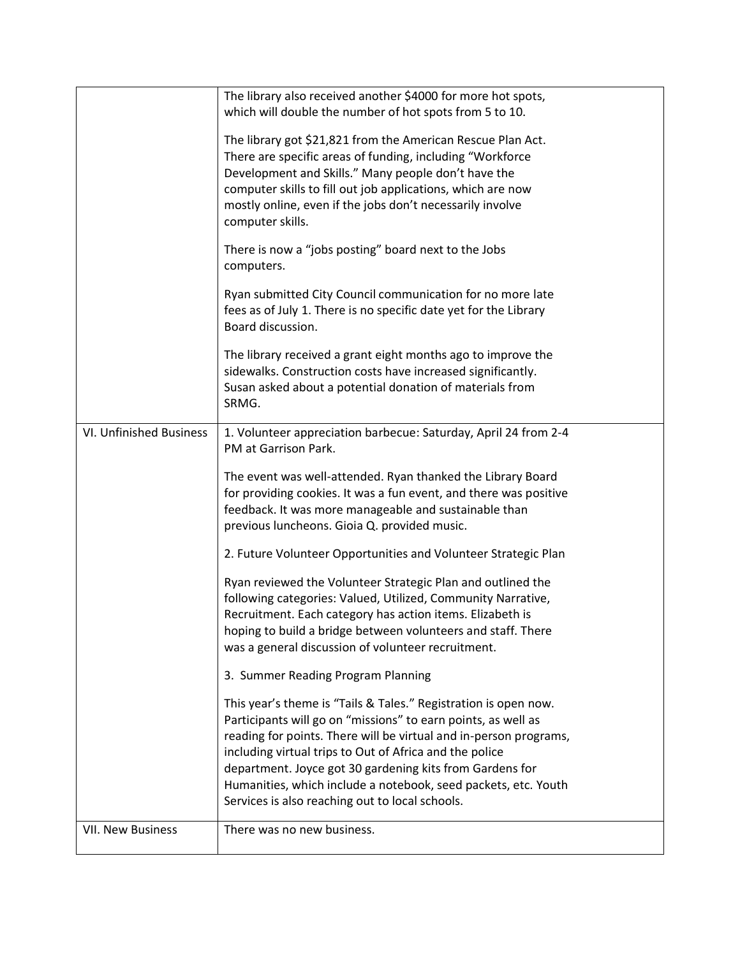|                         | The library also received another \$4000 for more hot spots,<br>which will double the number of hot spots from 5 to 10.<br>The library got \$21,821 from the American Rescue Plan Act.<br>There are specific areas of funding, including "Workforce<br>Development and Skills." Many people don't have the<br>computer skills to fill out job applications, which are now<br>mostly online, even if the jobs don't necessarily involve<br>computer skills.<br>There is now a "jobs posting" board next to the Jobs<br>computers.<br>Ryan submitted City Council communication for no more late<br>fees as of July 1. There is no specific date yet for the Library<br>Board discussion.<br>The library received a grant eight months ago to improve the<br>sidewalks. Construction costs have increased significantly.<br>Susan asked about a potential donation of materials from<br>SRMG. |
|-------------------------|---------------------------------------------------------------------------------------------------------------------------------------------------------------------------------------------------------------------------------------------------------------------------------------------------------------------------------------------------------------------------------------------------------------------------------------------------------------------------------------------------------------------------------------------------------------------------------------------------------------------------------------------------------------------------------------------------------------------------------------------------------------------------------------------------------------------------------------------------------------------------------------------|
| VI. Unfinished Business | 1. Volunteer appreciation barbecue: Saturday, April 24 from 2-4<br>PM at Garrison Park.<br>The event was well-attended. Ryan thanked the Library Board<br>for providing cookies. It was a fun event, and there was positive<br>feedback. It was more manageable and sustainable than<br>previous luncheons. Gioia Q. provided music.<br>2. Future Volunteer Opportunities and Volunteer Strategic Plan<br>Ryan reviewed the Volunteer Strategic Plan and outlined the<br>following categories: Valued, Utilized, Community Narrative,<br>Recruitment. Each category has action items. Elizabeth is<br>hoping to build a bridge between volunteers and staff. There<br>was a general discussion of volunteer recruitment.                                                                                                                                                                    |
|                         | 3. Summer Reading Program Planning<br>This year's theme is "Tails & Tales." Registration is open now.<br>Participants will go on "missions" to earn points, as well as<br>reading for points. There will be virtual and in-person programs,<br>including virtual trips to Out of Africa and the police<br>department. Joyce got 30 gardening kits from Gardens for<br>Humanities, which include a notebook, seed packets, etc. Youth<br>Services is also reaching out to local schools.                                                                                                                                                                                                                                                                                                                                                                                                     |
| VII. New Business       | There was no new business.                                                                                                                                                                                                                                                                                                                                                                                                                                                                                                                                                                                                                                                                                                                                                                                                                                                                  |